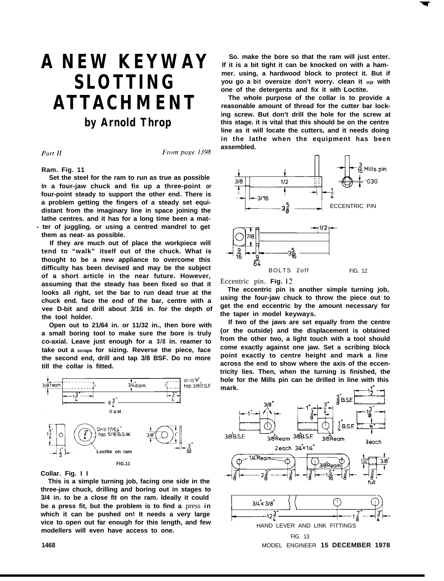# **A NEW KEYWAY SLOTTING ATTACHMENT by Arnold Throp**

Part II

From page 1398

**Ram. Fig. 11**

**Set the steel for the ram to run as true as possible In a four-jaw chuck and fix up a three-point or four-point steady to support the other end. There is a problem getting the fingers of a steady set equidistant from the imaginary line in space joining the lathe centres. and it has for a long time been a mat- - ter of juggling. or using a centred mandrel to get them as neat- as possible.**

**If they are much out of place the workpiece will tend to "walk" itself out of the chuck. What is thought to be a new appliance to overcome this difficulty has been devised and may be the subject of a short article in the near future. However, assuming that the steady has been fixed so that it looks all right, set the bar to run dead true at the chuck end. face the end of the bar, centre with a vee D-bit and drill about 3/16 in. for the depth of the tool holder.**

**Open out to 21/64 in. or 11/32 in., then bore with a small boring tool to make sure the bore is truly co-axial. Leave just enough for a 3/8 in. reamer to take out a scrape for sizing. Reverse the piece, face the second end, drill and tap 3/8 BSF. Do no more till the collar is fitted.**



**Collar. Fig. I I**

**This is a simple turning job, facing one side in the three-jaw chuck, drilling and boring out in stages to 3/4 in. to be a close fit on the ram. Ideally it could be a press fit, but the problem is to find a** press **in which it can be pushed on! It needs a very large vice to open out far enough for this length, and few modellers will even have access to one.**

**So. make the bore so that the ram will just enter. If it is a bit tight it can be knocked on with a hammer. using, a hardwood block to protect it. But if you go a bit oversize don't worry. clean it up with one of the detergents and fix it with Loctite.**

**The whole purpose of the collar is to provide a reasonable amount of thread for the cutter bar locking screw. But don't drill the hole for the screw at this stage. it is vital that this should be on the centre line as it will locate the cutters, and it needs doing in the lathe when the equipment has been assembled.**



Eccentric pin. **Fig. 13**

**The eccentric pin is another simple turning job, using the four-jaw chuck to throw the piece out to get the end eccentric by the amount necessary for the taper in model keyways.**

**If two of the jaws are set equally from the centre (or the outside) and the displacement is obtained from the other two, a light touch with a tool should come exactly against one jaw. Set a scribing block point exactly to centre height and mark a line across the end to show where the axis of the eccentricity lies. Then, when the turning is finished, the hole for the Mills pin can be drilled in line with this mark.**

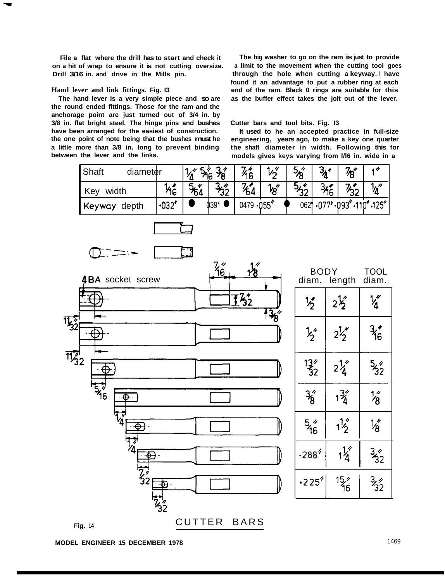**on a hit of wrap to ensure it is not cutting oversize. a limit to the movement when the cutting tool goes Drill 3/16 in. and drive in the Mills pin. through the hole when cutting a keyway. I have**

**the round ended fittings. Those for the ram and the anchorage point are just turned out of 3/4 in. by 3/8 in. flat bright steel. The hinge pins and bushes Cutter bars and tool bits. Fig. I3 have been arranged for the easiest of construction. It used to he an accepted practice in full-size the one point of note being that the bushes must he engineering, years ago, to make a key one quarter a little more than 3/8 in. long to prevent binding the shaft diameter in width. Following this for**

**File a flat where the drill has to start and check it The big washer to go on the ram is just to provide found it an advantage to put a rubber ring at each Hand lever and link fittings. Fig. I3 end of the ram. Black 0 rings are suitable for this The hand lever is a very simple piece and so are as the buffer effect takes the jolt out of the lever.**

models gives keys varying from I/l6 in. wide in a

| Shaft<br>diameter |              |     |        | 7.4<br>″16 |               | $5^{2}_{8}$ |        | 7"                |                  |
|-------------------|--------------|-----|--------|------------|---------------|-------------|--------|-------------------|------------------|
| width<br>Key      | ʹ16          | 104 |        | п<br>′64   | $\frac{1}{8}$ | האי         | *16 เ  |                   |                  |
| Keyway<br>depth   | $\cdot 032'$ |     | $039*$ | 0479       | .055''        | 062         | .077'' | .093 <sup>′</sup> | $.110'$ $.125''$ |

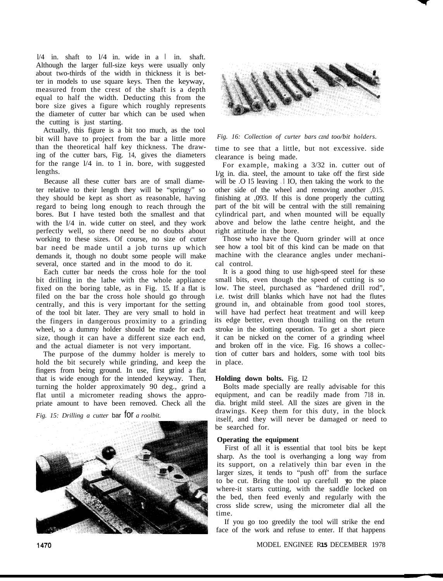$1/4$  in. shaft to  $1/4$  in. wide in a  $\vert$  in. shaft. Although the larger full-size keys were usually only about two-thirds of the width in thickness it is better in models to use square keys. Then the keyway, measured from the crest of the shaft is a depth equal to half the width. Deducting this from the bore size gives a figure which roughly represents the diameter of cutter bar which can be used when the cutting is just starting.

Actually, this figure is a bit too much, as the tool bit will have to project from the bar a little more than the theoretical half key thickness. The drawing of the cutter bars, Fig. 14, gives the diameters for the range  $1/4$  in. to 1 in. bore, with suggested lengths.

Because all these cutter bars are of small diameter relative to their length they will be "springy" so they should be kept as short as reasonable, having regard to being long enough to reach through the bores. But I have tested both the smallest and that with the l/4 in. wide cutter on steel, and they work perfectly well, so there need be no doubts about working to these sizes. Of course, no size of cutter bar need be made until a job turns up which demands it, though no doubt some people will make several, once started and in the mood to do it.

Each cutter bar needs the cross hole for the tool bit drilling in the lathe with the whole appliance fixed on the boring table, as in Fig. 15. If a flat is filed on the bar the cross hole should go through centrally, and this is very important for the setting of the tool bit later. They are very small to hold in the fingers in dangerous proximity to a grinding wheel, so a dummy holder should be made for each size, though it can have a different size each end, and the actual diameter is not very important.

The purpose of the dummy holder is merely to hold the bit securely while grinding, and keep the fingers from being ground. In use, first grind a flat that is wide enough for the intended keyway. Then, turning the holder approximately 90 deg., grind a flat until a micrometer reading shows the appropriate amount to have been removed. Check all the

*Fig. 15: Drilling a cutter bar for a roolbit.* 





*Fig. 16: Collection of curter bars cznd too/bit holders.*

time to see that a little, but not excessive. side clearance is being made.

For example, making a 3/32 in. cutter out of  $1/g$  in. dia. steel, the amount to take off the first side will be  $\overline{O}$  I5 leaving  $\overline{O}$  IO, then taking the work to the other side of the wheel and removing another ,015. finishing at ,093. If this is done properly the cutting part of the bit will be central with the still remaining cylindrical part, and when mounted will be equally above and below the lathe centre height, and the right attitude in the bore.

Those who have the Quorn grinder will at once see how a tool bit of this kind can be made on that machine with the clearance angles under mechanical control.

It is a good thing to use high-speed steel for these small bits, even though the speed of cutting is so low. The steel, purchased as "hardened drill rod", i.e. twist drill blanks which have not had the flutes ground in, and obtainable from good tool stores, will have had perfect heat treatment and will keep its edge better, even though trailing on the return stroke in the slotting operation. To get a short piece it can be nicked on the corner of a grinding wheel and broken off in the vice. Fig. I6 shows a collection of cutter bars and holders, some with tool bits in place.

## **Holding down bolts.** Fig. I2

Bolts made specially are really advisable for this equipment, and can be readily made from 718 in. dia. bright mild steel. All the sizes are given in the drawings. Keep them for this duty, in the block itself, and they will never be damaged or need to be searched for.

### **Operating the equipment**

First of all it is essential that tool bits be kept sharp. As the tool is overhanging a long way from its support, on a relatively thin bar even in the larger sizes, it tends to "push off' from the surface to be cut. Bring the tool up carefull  $\phi$  the place where-it starts cutting, with the saddle locked on the bed, then feed evenly and regularly with the cross slide screw, using the micrometer dial all the time.

If you go too greedily the tool will strike the end face of the work and refuse to enter. If that happens